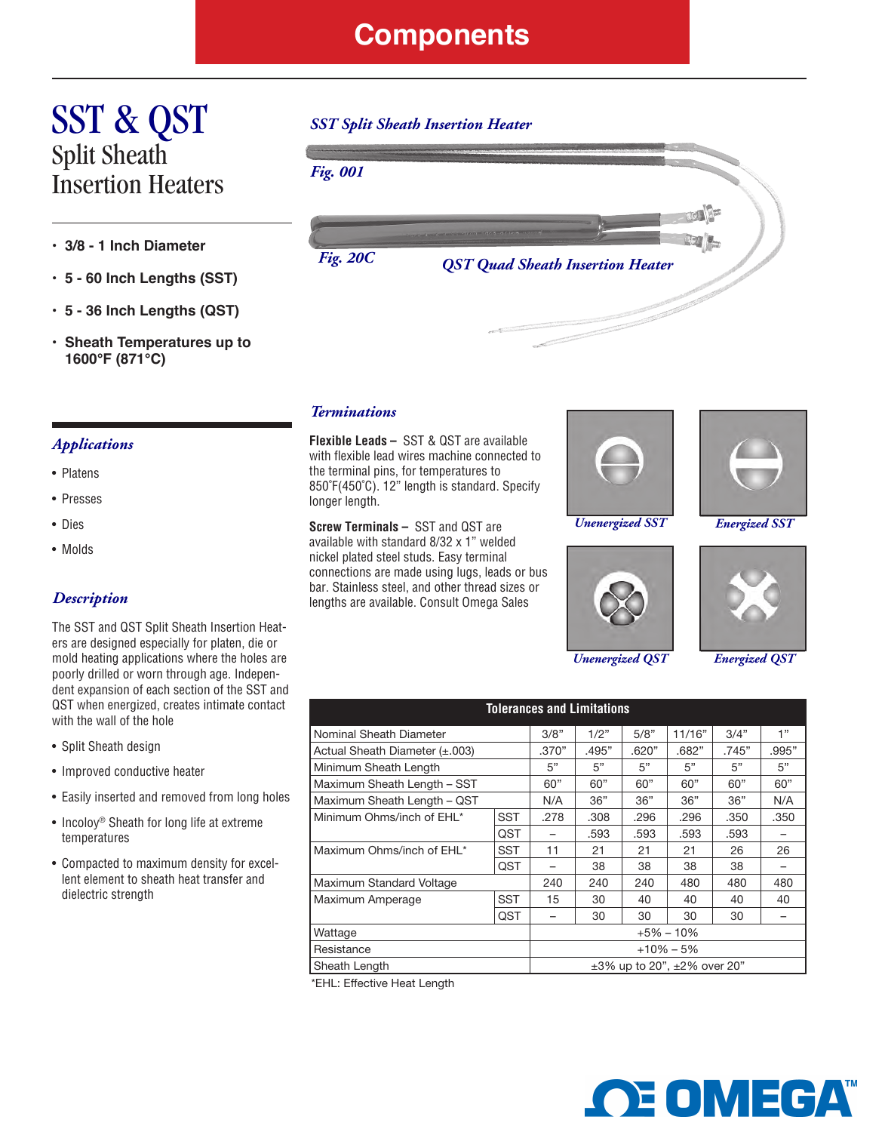### **Components**

# SST & QST Split Sheath Insertion Heaters

- **3/8 - 1 Inch Diameter**
- **5 - 60 Inch Lengths (SST)**
- **5 - 36 Inch Lengths (QST)**
- **• Sheath Temperatures up to 1600°F (871°C)**

#### *Applications*

- Platens
- Presses
- Dies
- Molds

#### *Description*

The SST and QST Split Sheath Insertion Heaters are designed especially for platen, die or mold heating applications where the holes are poorly drilled or worn through age. Independent expansion of each section of the SST and QST when energized, creates intimate contact with the wall of the hole

- Split Sheath design
- Improved conductive heater
- Easily inserted and removed from long holes
- Incoloy<sup>®</sup> Sheath for long life at extreme temperatures
- Compacted to maximum density for excellent element to sheath heat transfer and dielectric strength

# *SST Split Sheath Insertion Heater*



#### *Terminations*

**Flexible Leads –** SST & QST are available with flexible lead wires machine connected to the terminal pins, for temperatures to 850˚F(450˚C). 12" length is standard. Specify longer length.

**Screw Terminals –** SST and QST are available with standard 8/32 x 1" welded nickel plated steel studs. Easy terminal connections are made using lugs, leads or bus bar. Stainless steel, and other thread sizes or lengths are available. Consult Omega Sales



*Unenergized SST Energized SST*



*Unenergized QST Energized QST*





| <b>Tolerances and Limitations</b> |                                         |       |       |        |       |       |      |  |  |  |
|-----------------------------------|-----------------------------------------|-------|-------|--------|-------|-------|------|--|--|--|
| Nominal Sheath Diameter           | 3/8"                                    | 1/2"  | 5/8"  | 11/16" | 3/4"  | 1"    |      |  |  |  |
| Actual Sheath Diameter (±.003)    | .370"                                   | .495" | .620" | .682"  | .745" | .995" |      |  |  |  |
| Minimum Sheath Length             | 5"                                      | 5"    | 5"    | 5"     | 5"    | 5"    |      |  |  |  |
| Maximum Sheath Length - SST       | 60"                                     | 60"   | 60"   | 60"    | 60"   | 60"   |      |  |  |  |
| Maximum Sheath Length - QST       | N/A                                     | 36"   | 36"   | 36"    | 36"   | N/A   |      |  |  |  |
| Minimum Ohms/inch of EHL*         | <b>SST</b>                              | .278  | .308  | .296   | .296  | .350  | .350 |  |  |  |
|                                   | QST                                     |       | .593  | .593   | .593  | .593  |      |  |  |  |
| Maximum Ohms/inch of EHL*         | <b>SST</b>                              | 11    | 21    | 21     | 21    | 26    | 26   |  |  |  |
|                                   | QST                                     |       | 38    | 38     | 38    | 38    |      |  |  |  |
| Maximum Standard Voltage          | 240                                     | 240   | 240   | 480    | 480   | 480   |      |  |  |  |
| Maximum Amperage                  | <b>SST</b>                              | 15    | 30    | 40     | 40    | 40    | 40   |  |  |  |
|                                   | QST                                     |       | 30    | 30     | 30    | 30    |      |  |  |  |
| Wattage                           | $+5\% - 10\%$                           |       |       |        |       |       |      |  |  |  |
| Resistance                        | $+10\% - 5\%$                           |       |       |        |       |       |      |  |  |  |
| Sheath Length                     | $\pm 3\%$ up to 20", $\pm 2\%$ over 20" |       |       |        |       |       |      |  |  |  |

\*EHL: Effective Heat Length